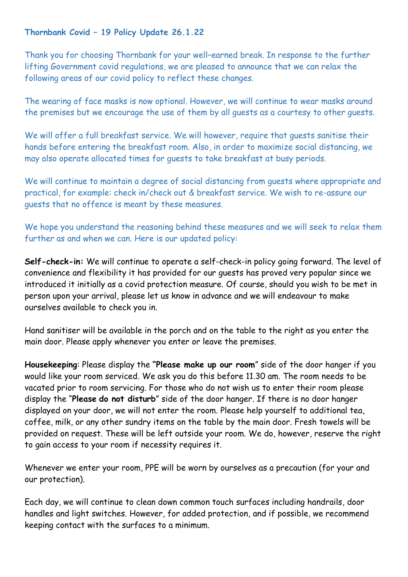## **Thornbank Covid – 19 Policy Update 26.1.22**

Thank you for choosing Thornbank for your well–earned break. In response to the further lifting Government covid regulations, we are pleased to announce that we can relax the following areas of our covid policy to reflect these changes.

The wearing of face masks is now optional. However, we will continue to wear masks around the premises but we encourage the use of them by all guests as a courtesy to other guests.

We will offer a full breakfast service. We will however, require that guests sanitise their hands before entering the breakfast room. Also, in order to maximize social distancing, we may also operate allocated times for guests to take breakfast at busy periods.

We will continue to maintain a degree of social distancing from guests where appropriate and practical, for example: check in/check out & breakfast service. We wish to re-assure our guests that no offence is meant by these measures.

We hope you understand the reasoning behind these measures and we will seek to relax them further as and when we can. Here is our updated policy:

**Self-check-in:** We will continue to operate a self-check-in policy going forward. The level of convenience and flexibility it has provided for our guests has proved very popular since we introduced it initially as a covid protection measure. Of course, should you wish to be met in person upon your arrival, please let us know in advance and we will endeavour to make ourselves available to check you in.

Hand sanitiser will be available in the porch and on the table to the right as you enter the main door. Please apply whenever you enter or leave the premises.

**Housekeeping**: Please display the **"Please make up our room**" side of the door hanger if you would like your room serviced. We ask you do this before 11.30 am. The room needs to be vacated prior to room servicing. For those who do not wish us to enter their room please display the "**Please do not disturb**" side of the door hanger. If there is no door hanger displayed on your door, we will not enter the room. Please help yourself to additional tea, coffee, milk, or any other sundry items on the table by the main door. Fresh towels will be provided on request. These will be left outside your room. We do, however, reserve the right to gain access to your room if necessity requires it.

Whenever we enter your room, PPE will be worn by ourselves as a precaution (for your and our protection).

Each day, we will continue to clean down common touch surfaces including handrails, door handles and light switches. However, for added protection, and if possible, we recommend keeping contact with the surfaces to a minimum.